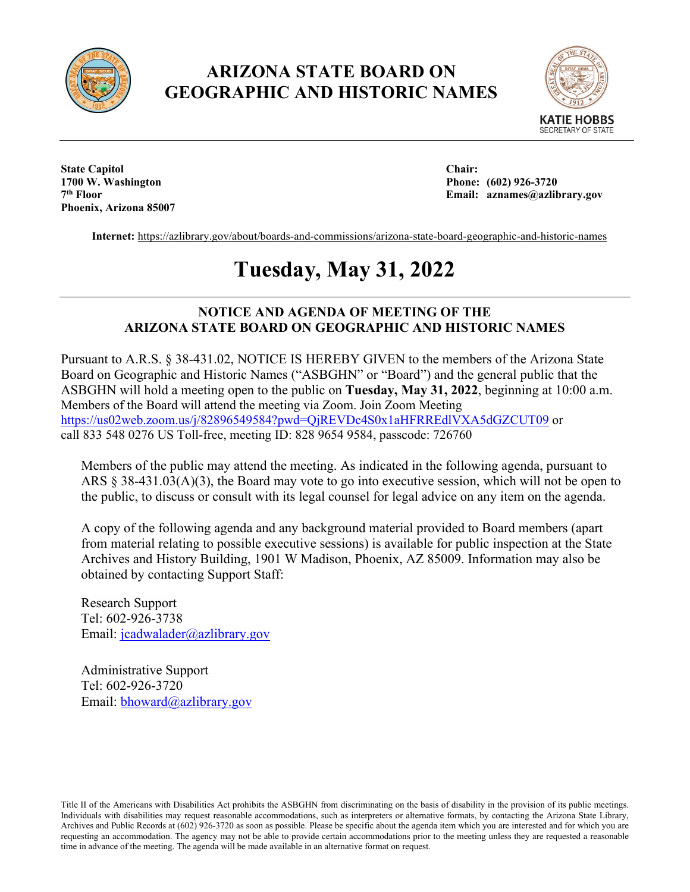

## **ARIZONA STATE BOARD ON GEOGRAPHIC AND HISTORIC NAMES**



**State Capitol Chair: 1700 W. Washington Phone: (602) 926-3720 Phoenix, Arizona 85007**

**7th Floor Email: aznames@azlibrary.gov**

**Internet:** <https://azlibrary.gov/about/boards-and-commissions/arizona-state-board-geographic-and-historic-names>

# **Tuesday, May 31, 2022**

## **NOTICE AND AGENDA OF MEETING OF THE ARIZONA STATE BOARD ON GEOGRAPHIC AND HISTORIC NAMES**

Pursuant to A.R.S. § 38-431.02, NOTICE IS HEREBY GIVEN to the members of the Arizona State Board on Geographic and Historic Names ("ASBGHN" or "Board") and the general public that the ASBGHN will hold a meeting open to the public on **Tuesday, May 31, 2022**, beginning at 10:00 a.m. Members of the Board will attend the meeting via Zoom. Join Zoom Meeting <https://us02web.zoom.us/j/82896549584?pwd=QjREVDc4S0x1aHFRREdlVXA5dGZCUT09> or call 833 548 0276 US Toll-free, meeting ID: 828 9654 9584, passcode: 726760

Members of the public may attend the meeting. As indicated in the following agenda, pursuant to ARS § 38-431.03(A)(3), the Board may vote to go into executive session, which will not be open to the public, to discuss or consult with its legal counsel for legal advice on any item on the agenda.

A copy of the following agenda and any background material provided to Board members (apart from material relating to possible executive sessions) is available for public inspection at the State Archives and History Building, 1901 W Madison, Phoenix, AZ 85009. Information may also be obtained by contacting Support Staff:

Research Support Tel: 602-926-3738 Email: [jcadwalader@azlibrary.gov](mailto:jcadwalader@azlibrary.gov)

Administrative Support Tel: 602-926-3720 Email: [bhoward@azlibrary.gov](mailto:bhoward@azlibrary.gov)

Title II of the Americans with Disabilities Act prohibits the ASBGHN from discriminating on the basis of disability in the provision of its public meetings. Individuals with disabilities may request reasonable accommodations, such as interpreters or alternative formats, by contacting the Arizona State Library, Archives and Public Records at (602) 926-3720 as soon as possible. Please be specific about the agenda item which you are interested and for which you are requesting an accommodation. The agency may not be able to provide certain accommodations prior to the meeting unless they are requested a reasonable time in advance of the meeting. The agenda will be made available in an alternative format on request.